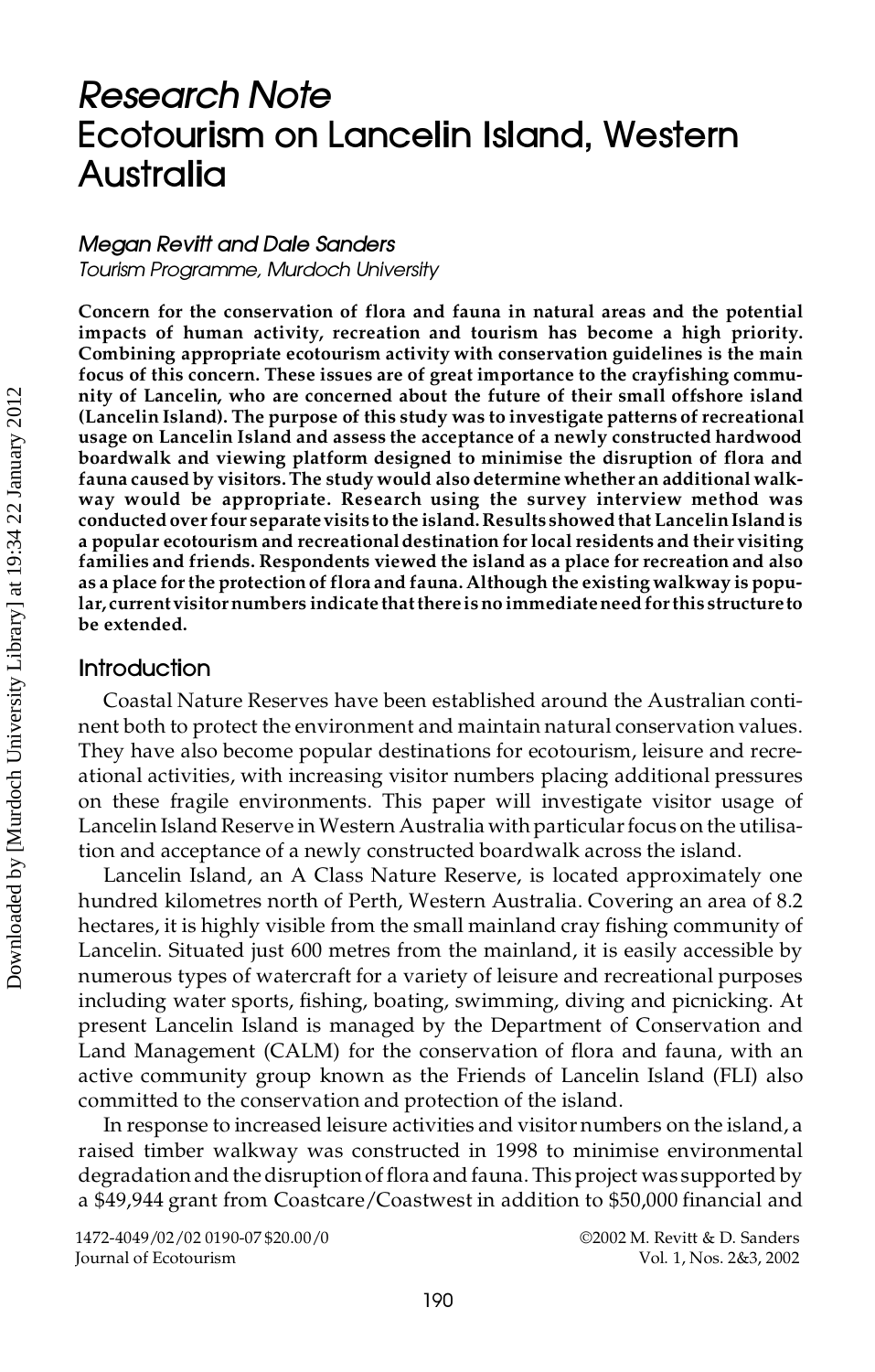# *Research Note* Ecotourism on Lancelin Island, Western Australia

### *Megan Revitt and Dale Sanders Tourism Programme, Murdoch University*

**Concern for the conservation of flora and fauna in natural areas and the potential impacts of human activity, recreation and tourism has become a high priority. Combining appropriate ecotourism activity with conservation guidelines is the main focus of this concern. These issues are of great importance to the crayfishing commu nity of Lancelin, who are concerned about the future of their small offshore island (Lancelin Island). The purpose of this study was to investigate patterns of recreational usage on Lancelin Island and assess the acceptance of a newly constructed hardwood boardwalk and viewing platform designed to minimise the disruption of flora and fauna caused by visitors.The study would also determine whether an additional walkway would be appropriate. Research using the survey interview method was conductedoverfour separatevisits to the island.Results showedthat LancelinIslandis a popular ecotourism and recreationaldestination for localresidents and their visiting families and friends. Respondents viewed the island as a place for recreation and also as a place forthe protectionofflora and fauna. Although the existing walkway is popular, currentvisitornumbers indicate thatthere isno immediateneedforthis structureto be extended.**

## **Introduction**

Coastal Nature Reserves have been established around the Australian continent both to protect the environment and maintain natural conservation values. They have also become popular destinations for ecotourism, leisure and recreational activities, with increasing visitor numbers placing additional pressures on these fragile environments. This paper will investigate visitor usage of Lancelin Island Reserve in Western Australia with particular focus on the utilisation and acceptance of a newly constructed boardwalk across the island.

Lancelin Island, an A Class Nature Reserve, is located approximately one hundred kilometres north of Perth, Western Australia. Covering an area of 8.2 hectares, it is highly visible from the small mainland cray fishing community of Lancelin. Situated just 600 metres from the mainland, it is easily accessible by numerous types of watercraft for a variety of leisure and recreational purposes including water sports, fishing, boating, swimming, diving and picnicking. At present Lancelin Island is managed by the Department of Conservation and Land Management (CALM) for the conservation of flora and fauna, with an active community group known as the Friends of Lancelin Island (FLI) also committed to the conservation and protection of the island.

In response to increased leisure activities and visitor numbers on the island, a raised timber walkway was constructed in 1998 to minimise environmental degradationand thedisruptionofflora and fauna. This project was supported by a \$49,944 grant from Coastcare/Coastwest in addition to \$50,000 financial and

1472-4049/02/02 0190-07 \$20.00/0 ©2002 M. Revitt & D. Sanders Journal of Ecotourism Vol. 1, Nos. 2&3, 2002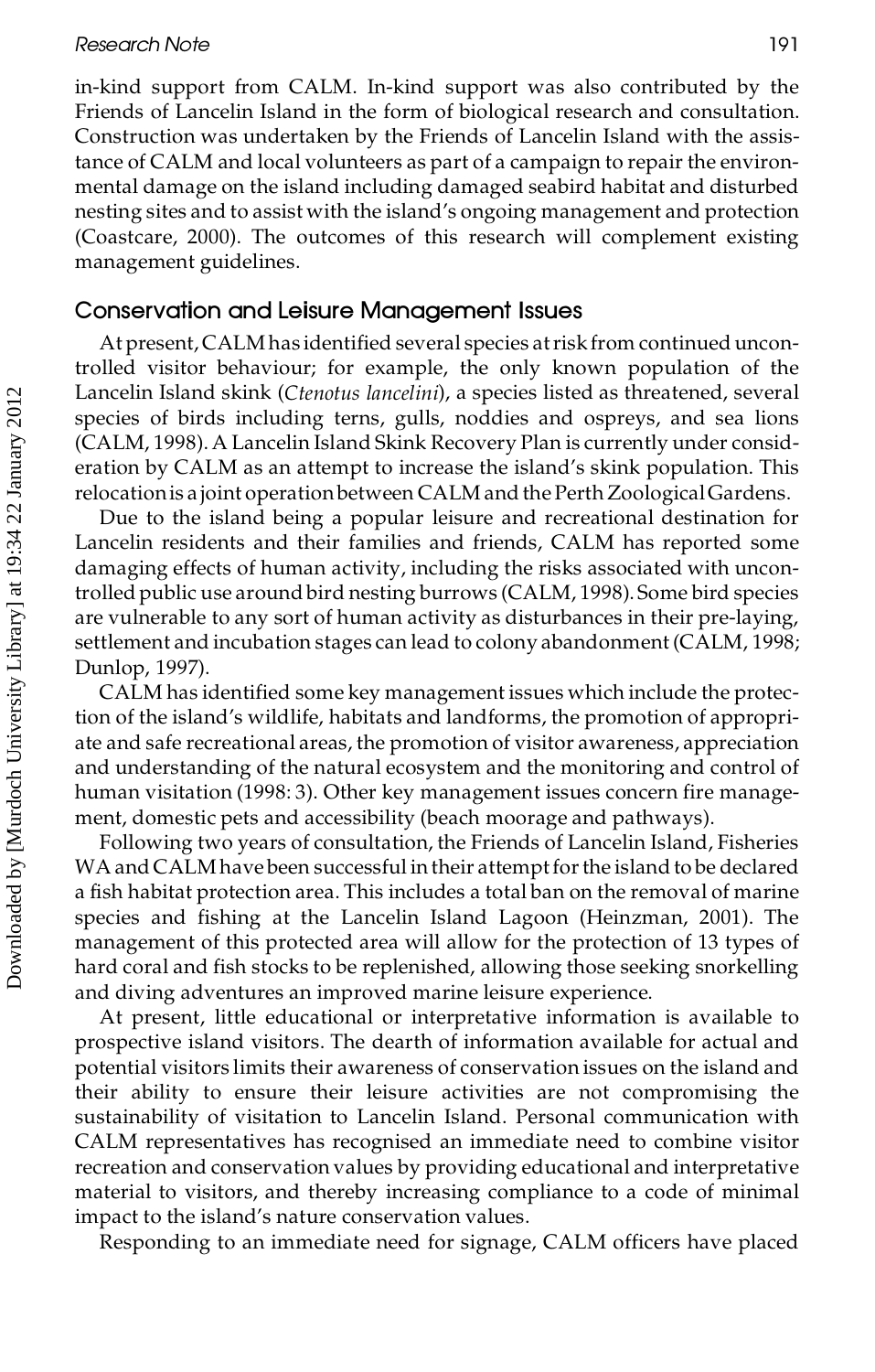#### *Research Note* 191

in-kind support from CALM. In-kind support was also contributed by the Friends of Lancelin Island in the form of biological research and consultation. Construction was undertaken by the Friends of Lancelin Island with the assistance of CALM and local volunteers as part of a campaign to repair the environmental damage on the island including damaged seabird habitat and disturbed nesting sites and to assist with the island's ongoing management and protection (Coastcare, 2000). The outcomes of this research will complement existing management guidelines.

## Conservation and Leisure Management Issues

At present, CALMhas identified several species atrisk from continued uncontrolled visitor behaviour; for example, the only known population of the Lancelin Island skink (*Ctenotus lancelini*), a species listed as threatened, several species of birds including terns, gulls, noddies and ospreys, and sea lions (CALM, 1998).A Lancelin Island Skink Recovery Plan is currently under consideration by CALM as an attempt to increase the island's skink population. This relocation is a joint operation between CALM and the Perth Zoological Gardens.

Due to the island being a popular leisure and recreational destination for Lancelin residents and their families and friends, CALM has reported some damaging effects of human activity, including the risks associated with uncontrolled public use around bird nesting burrows (CALM, 1998). Some bird species are vulnerable to any sort of human activity as disturbances in their pre-laying, settlement and incubation stages can lead to colony abandonment (CALM, 1998; Dunlop, 1997).

CALM has identified some key management issues which include the protection of the island's wildlife, habitats and landforms, the promotion of appropriate and safe recreational areas, the promotion of visitor awareness, appreciation and understanding of the natural ecosystem and the monitoring and control of human visitation (1998: 3). Other key management issues concern fire management, domestic pets and accessibility (beach moorage and pathways).

Following two years of consultation, the Friends of Lancelin Island, Fisheries WA and CALM have been successful in their attempt for the island to be declared a fish habitat protection area. This includes a total ban on the removal of marine species and fishing at the Lancelin Island Lagoon (Heinzman, 2001). The management of this protected area will allow for the protection of 13 types of hard coral and fish stocks to be replenished, allowing those seeking snorkelling and diving adventures an improved marine leisure experience.

At present, little educational or interpretative information is available to prospective island visitors. The dearth of information available for actual and potential visitors limits their awareness of conservation issues on the island and their ability to ensure their leisure activities are not compromising the sustainability of visitation to Lancelin Island. Personal communication with CALM representatives has recognised an immediate need to combine visitor recreation and conservation values by providing educational and interpretative material to visitors, and thereby increasing compliance to a code of minimal impact to the island's nature conservation values.

Responding to an immediate need for signage, CALM officers have placed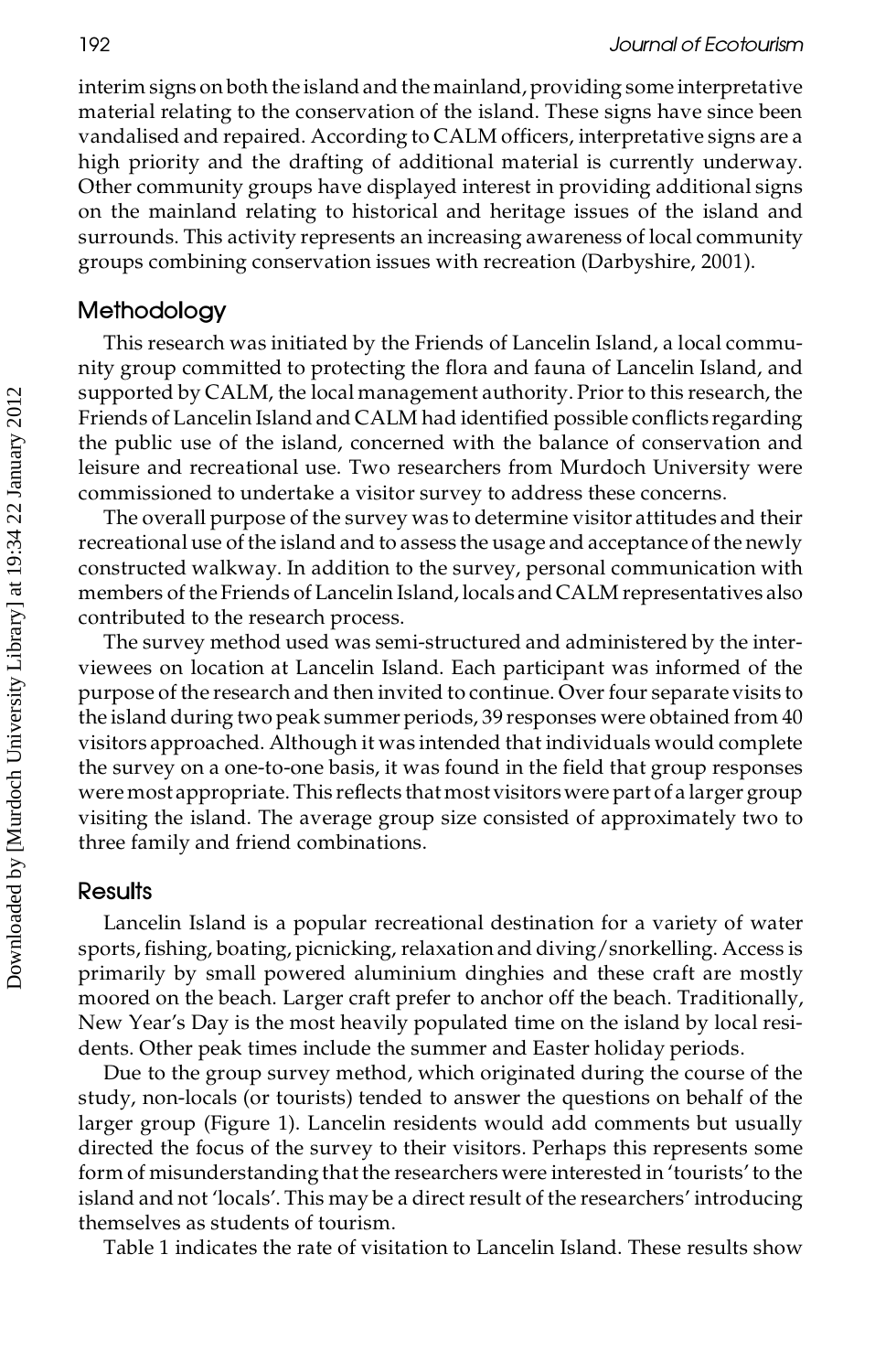interim signs on both the island and the mainland, providing some interpretative material relating to the conservation of the island. These signs have since been vandalised and repaired. According to CALM officers, interpretative signs are a high priority and the drafting of additional material is currently underway. Other community groups have displayed interest in providing additional signs on the mainland relating to historical and heritage issues of the island and surrounds. This activity represents an increasing awareness of local community groups combining conservation issues with recreation (Darbyshire, 2001).

## **Methodology**

This research was initiated by the Friends of Lancelin Island, a local community group committed to protecting the flora and fauna of Lancelin Island, and supported by CALM, the local management authority. Prior to this research, the Friends of Lancelin Island and CALM had identified possible conflicts regarding the public use of the island, concerned with the balance of conservation and leisure and recreational use. Two researchers from Murdoch University were commissioned to undertake a visitor survey to address these concerns.

The overall purpose of the survey was to determine visitor attitudes and their recreational use of the island and to assess the usage and acceptance of the newly constructed walkway. In addition to the survey, personal communication with members of the Friends of Lancelin Island, locals and CALM representatives also contributed to the research process.

The survey method used was semi-structured and administered by the interviewees on location at Lancelin Island. Each participant was informed of the purpose of the research and then invited to continue. Over four separate visits to the island during two peak summer periods, 39 responses were obtained from 40 visitors approached. Although itwas intended that individuals would complete the survey on a one-to-one basis, it was found in the field that group responses were most appropriate. This reflects that most visitors were part of a larger group visiting the island. The average group size consisted of approximately two to three family and friend combinations.

### **Results**

Lancelin Island is a popular recreational destination for a variety of water sports, fishing, boating, picnicking, relaxation and diving/snorkelling. Access is primarily by small powered aluminium dinghies and these craft are mostly moored on the beach. Larger craft prefer to anchor off the beach. Traditionally, New Year's Day is the most heavily populated time on the island by local residents. Other peak times include the summer and Easter holiday periods.

Due to the group survey method, which originated during the course of the study, non-locals (or tourists) tended to answer the questions on behalf of the larger group (Figure 1). Lancelin residents would add comments but usually directed the focus of the survey to their visitors. Perhaps this represents some form of misunderstanding that the researchers were interested in 'tourists'to the island and not 'locals'. This may be a direct result of the researchers' introducing themselves as students of tourism.

Table 1 indicates the rate of visitation to Lancelin Island. These results show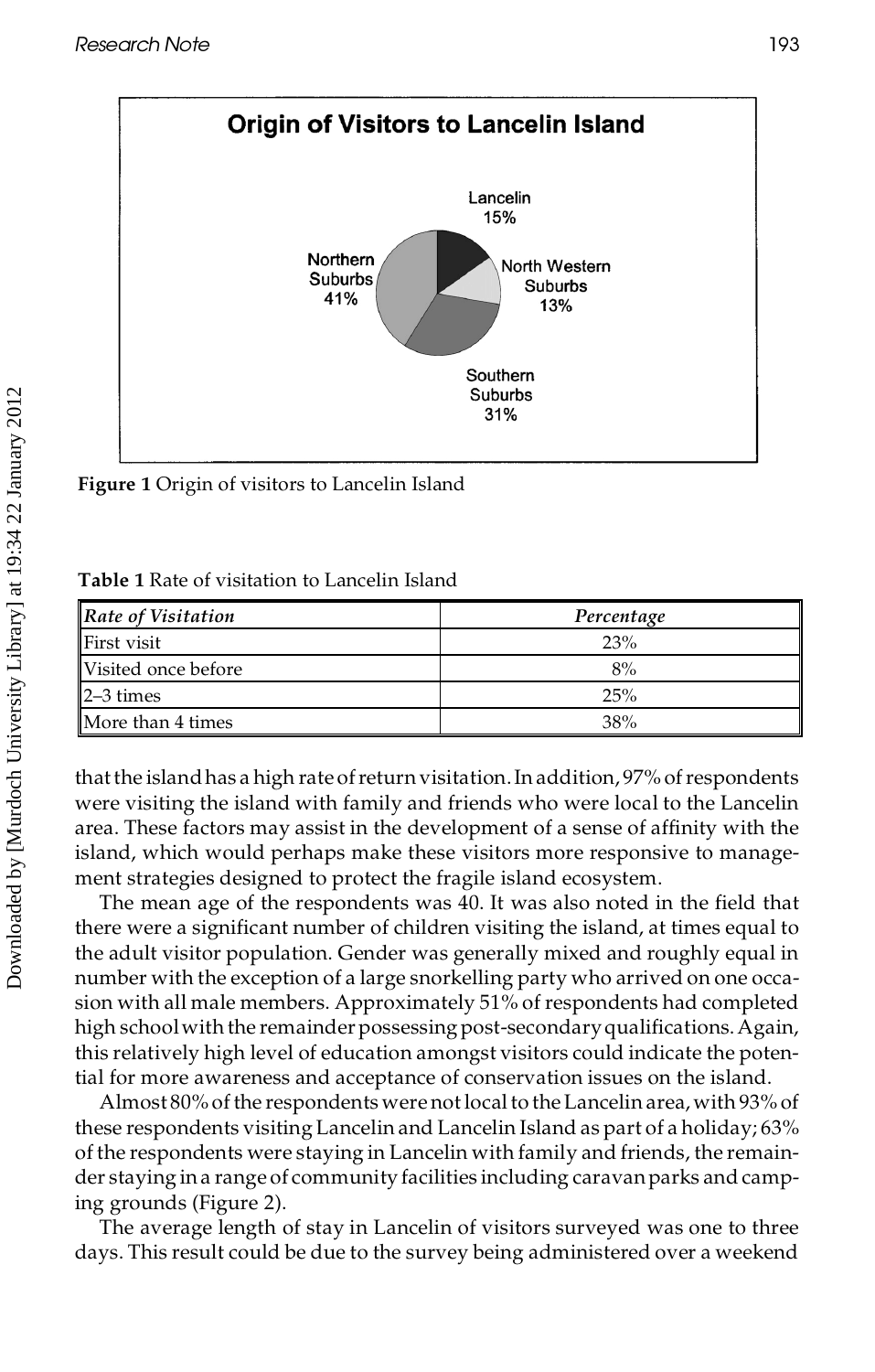

**Figure 1** Origin of visitors to Lancelin Island

| <b>Table 1</b> Rate of visitation to Lancelin Island |  |
|------------------------------------------------------|--|
|------------------------------------------------------|--|

| Rate of Visitation           | Percentage |
|------------------------------|------------|
| First visit                  | 23%        |
| Visited once before          | 8%         |
| $\mathsf{I}2\text{-}3$ times | 25%        |
| More than 4 times            | 38%        |

that the island has a high rate of return visitation. In addition, 97% of respondents were visiting the island with family and friends who were local to the Lancelin area. These factors may assist in the development of a sense of affinity with the island, which would perhaps make these visitors more responsive to management strategies designed to protect the fragile island ecosystem.

The mean age of the respondents was 40. It was also noted in the field that there were a significant number of children visiting the island, at times equal to the adult visitor population. Gender was generally mixed and roughly equal in number with the exception of a large snorkelling party who arrived on one occasion with all male members. Approximately 51% of respondents had completed high school with the remainder possessing post-secondary qualifications. Again, this relatively high level of education amongst visitors could indicate the potential for more awareness and acceptance of conservation issues on the island.

Almost 80% of the respondents were not local to the Lancelin area, with 93% of these respondents visiting Lancelin and Lancelin Island as part of a holiday; 63% of the respondents were staying in Lancelin with family and friends, the remainder staying in a range of community facilities including caravanparks and camping grounds (Figure 2).

The average length of stay in Lancelin of visitors surveyed was one to three days. This result could be due to the survey being administered over a weekend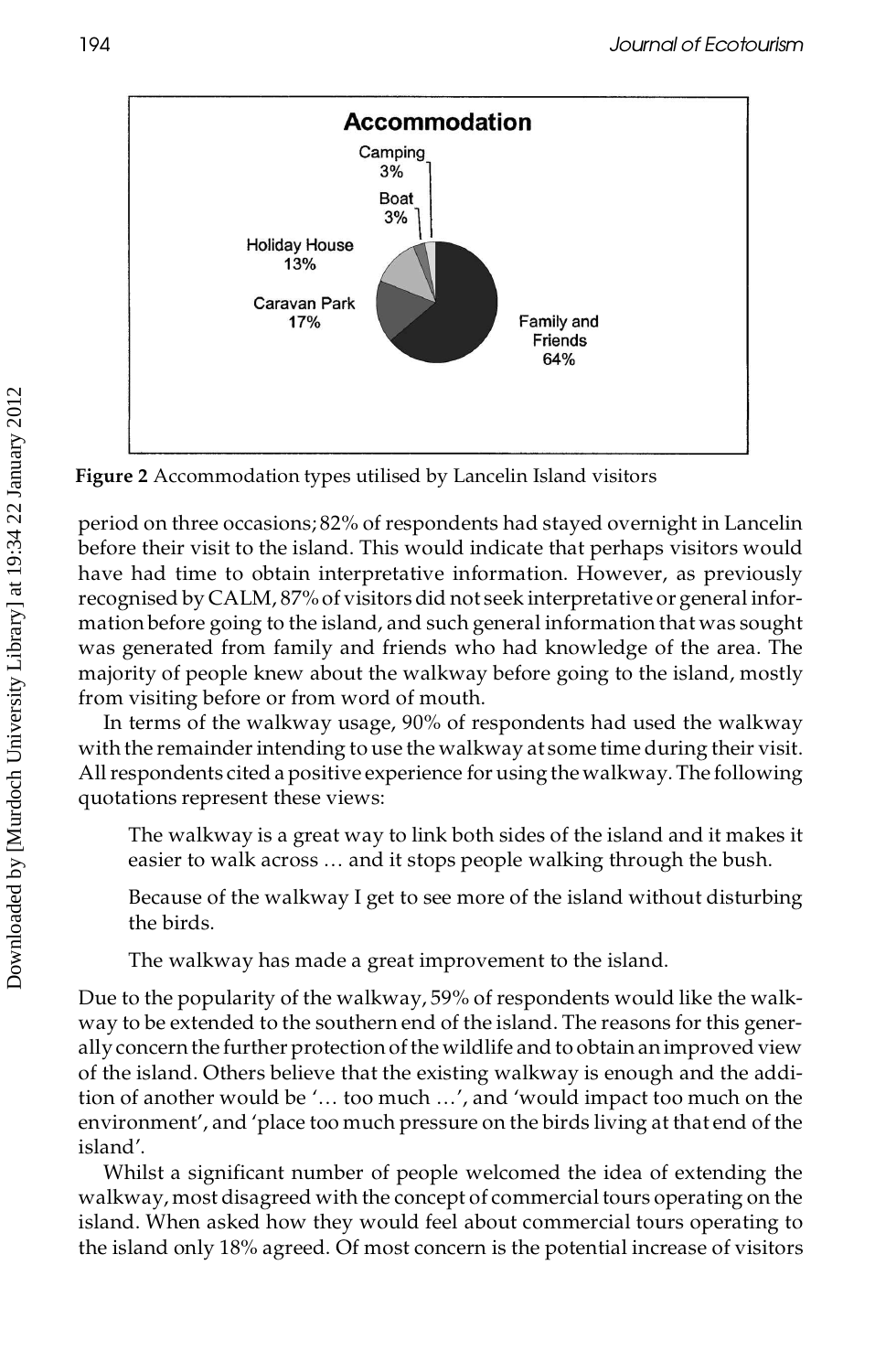

**Figure 2** Accommodation types utilised by Lancelin Island visitors

period on three occasions; 82% of respondents had stayed overnight in Lancelin before their visit to the island. This would indicate that perhaps visitors would have had time to obtain interpretative information. However, as previously recognised by CALM, 87%of visitors did not seek interpretative or general information before going to the island, and such general information that was sought was generated from family and friends who had knowledge of the area. The majority of people knew about the walkway before going to the island, mostly from visiting before or from word of mouth.

In terms of the walkway usage, 90% of respondents had used the walkway with the remainder intending to use the walkway at some time during their visit. Allrespondents cited a positive experience for using the walkway.The following quotations represent these views:

The walkway is a great way to link both sides of the island and it makes it easier to walk across … and it stops people walking through the bush.

Because of the walkway I get to see more of the island without disturbing the birds.

The walkway has made a great improvement to the island.

Due to the popularity of the walkway, 59% of respondents would like the walkway to be extended to the southern end of the island. The reasons for this generally concern the further protection of the wildlife and to obtain an improved view of the island. Others believe that the existing walkway is enough and the addition of another would be '… too much …', and 'would impact too much on the environment', and 'place too much pressure on the birds living at that end of the island'.

Whilst a significant number of people welcomed the idea of extending the walkway, most disagreed with the concept of commercial tours operating on the island. When asked how they would feel about commercial tours operating to the island only 18% agreed. Of most concern is the potential increase of visitors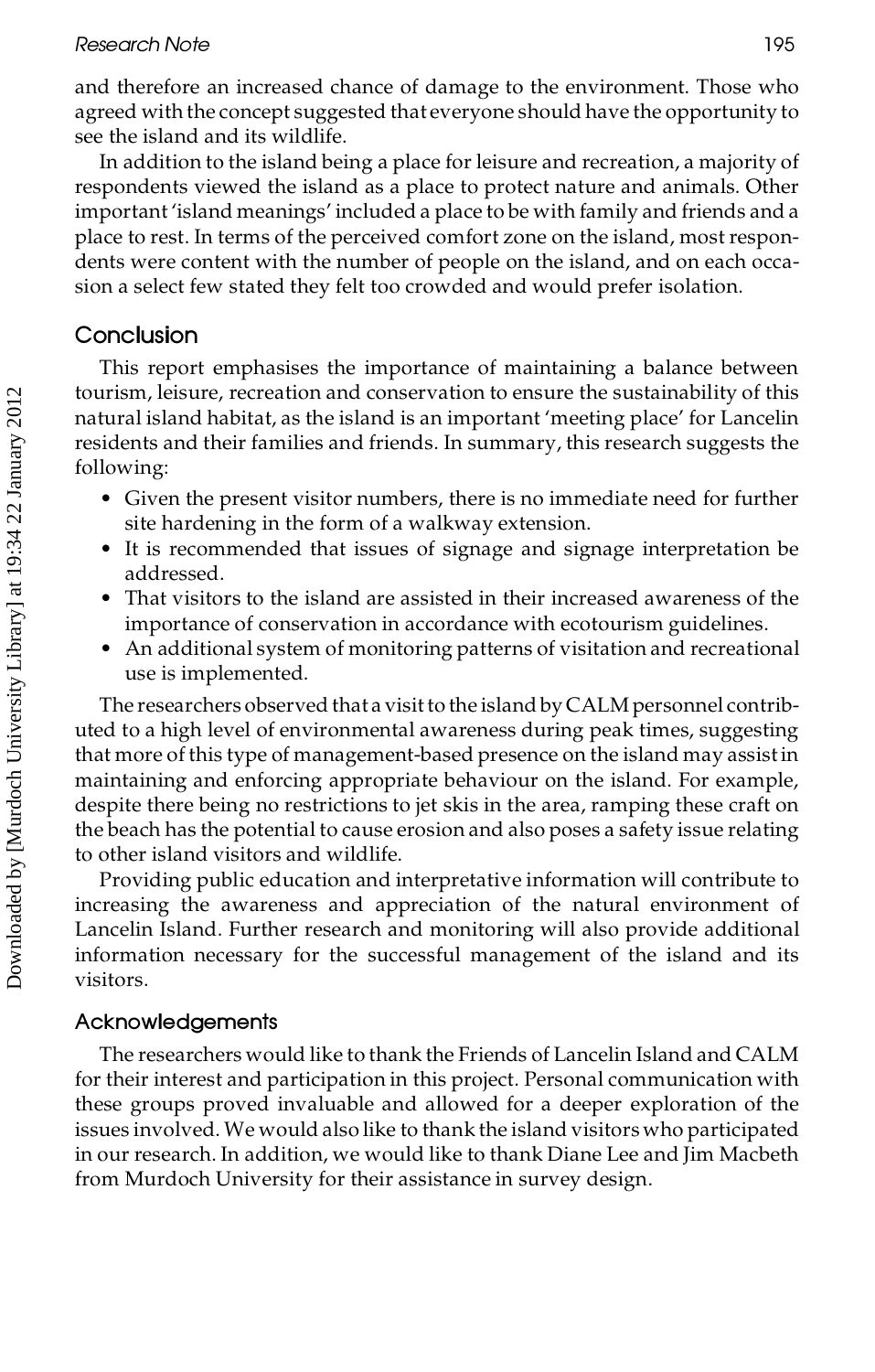#### **Research Note** 195

and therefore an increased chance of damage to the environment. Those who agreed with the concept suggested that everyone should have the opportunity to see the island and its wildlife.

In addition to the island being a place for leisure and recreation, a majority of respondents viewed the island as a place to protect nature and animals. Other important'island meanings' included a place to be with family and friends and a place to rest. In terms of the perceived comfort zone on the island, most respondents were content with the number of people on the island, and on each occasion a select few stated they felt too crowded and would prefer isolation.

# Conclusion

This report emphasises the importance of maintaining a balance between tourism, leisure, recreation and conservation to ensure the sustainability of this natural island habitat, as the island is an important 'meeting place' for Lancelin residents and their families and friends. In summary, this research suggests the following:

- Given the present visitor numbers, there is no immediate need for further site hardening in the form of a walkway extension.
- It is recommended that issues of signage and signage interpretation be addressed.
- That visitors to the island are assisted in their increased awareness of the importance of conservation in accordance with ecotourism guidelines.
- An additional system of monitoring patterns of visitation and recreational use is implemented.

The researchers observed that a visit to the island by CALM personnel contributed to a high level of environmental awareness during peak times, suggesting that more of this type of management-based presence on the island may assistin maintaining and enforcing appropriate behaviour on the island. For example, despite there being no restrictions to jet skis in the area, ramping these craft on the beach has the potential to cause erosion and also poses a safety issue relating to other island visitors and wildlife.

Providing public education and interpretative information will contribute to increasing the awareness and appreciation of the natural environment of Lancelin Island. Further research and monitoring will also provide additional information necessary for the successful management of the island and its visitors.

### Acknowledgements

The researchers would like to thank the Friends of Lancelin Island and CALM for their interest and participation in this project. Personal communication with these groups proved invaluable and allowed for a deeper exploration of the issues involved. We would also like to thank the island visitors who participated in our research. In addition, we would like to thank Diane Lee and Jim Macbeth from Murdoch University for their assistance in survey design.